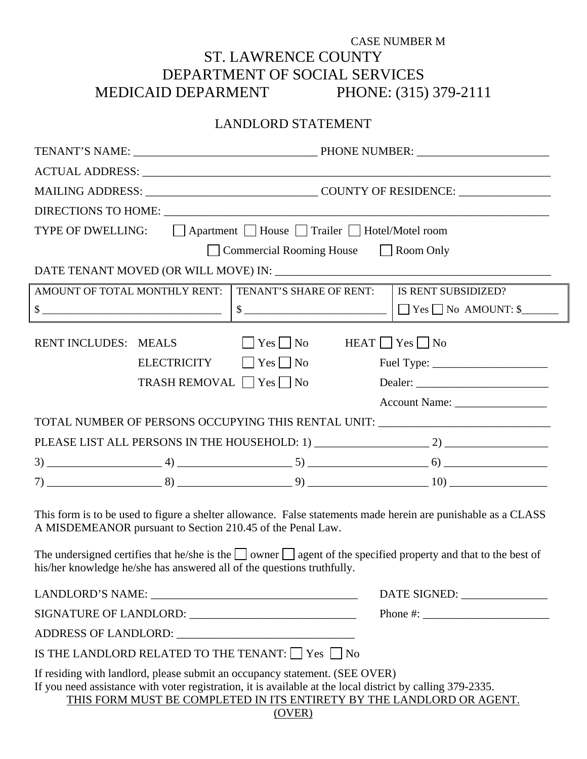## CASE NUMBER M ST. LAWRENCE COUNTY DEPARTMENT OF SOCIAL SERVICES MEDICAID DEPARMENT PHONE: (315) 379-2111

## LANDLORD STATEMENT

| TYPE OF DWELLING: △ △ △ Apartment △ House △ Trailer △ Hotel/Motel room                                                                                                                                                                                                       |  |                                    |  |                                                                                                                                                                                                                                                                                                        |  |
|------------------------------------------------------------------------------------------------------------------------------------------------------------------------------------------------------------------------------------------------------------------------------|--|------------------------------------|--|--------------------------------------------------------------------------------------------------------------------------------------------------------------------------------------------------------------------------------------------------------------------------------------------------------|--|
| Commercial Rooming House Room Only                                                                                                                                                                                                                                           |  |                                    |  |                                                                                                                                                                                                                                                                                                        |  |
|                                                                                                                                                                                                                                                                              |  |                                    |  |                                                                                                                                                                                                                                                                                                        |  |
| AMOUNT OF TOTAL MONTHLY RENT:<br>TENANT'S SHARE OF RENT:                                                                                                                                                                                                                     |  | IS RENT SUBSIDIZED?                |  |                                                                                                                                                                                                                                                                                                        |  |
|                                                                                                                                                                                                                                                                              |  |                                    |  | $\sim$ $ \Box$ Yes $\Box$ No AMOUNT: \$                                                                                                                                                                                                                                                                |  |
| $\Box$ Yes $\Box$ No<br>$HEAT$ $Yes$ $No$<br>RENT INCLUDES: MEALS                                                                                                                                                                                                            |  |                                    |  |                                                                                                                                                                                                                                                                                                        |  |
|                                                                                                                                                                                                                                                                              |  | $ELECTRICITY$ $\Box$ Yes $\Box$ No |  |                                                                                                                                                                                                                                                                                                        |  |
|                                                                                                                                                                                                                                                                              |  | TRASH REMOVAL Yes No               |  |                                                                                                                                                                                                                                                                                                        |  |
|                                                                                                                                                                                                                                                                              |  |                                    |  | Account Name: _________________                                                                                                                                                                                                                                                                        |  |
| TOTAL NUMBER OF PERSONS OCCUPYING THIS RENTAL UNIT: ____________________________                                                                                                                                                                                             |  |                                    |  |                                                                                                                                                                                                                                                                                                        |  |
|                                                                                                                                                                                                                                                                              |  |                                    |  |                                                                                                                                                                                                                                                                                                        |  |
|                                                                                                                                                                                                                                                                              |  |                                    |  |                                                                                                                                                                                                                                                                                                        |  |
|                                                                                                                                                                                                                                                                              |  |                                    |  |                                                                                                                                                                                                                                                                                                        |  |
|                                                                                                                                                                                                                                                                              |  |                                    |  |                                                                                                                                                                                                                                                                                                        |  |
| This form is to be used to figure a shelter allowance. False statements made herein are punishable as a CLASS<br>A MISDEMEANOR pursuant to Section 210.45 of the Penal Law.                                                                                                  |  |                                    |  |                                                                                                                                                                                                                                                                                                        |  |
| The undersigned certifies that he/she is the $\Box$ owner $\Box$ agent of the specified property and that to the best of<br>his/her knowledge he/she has answered all of the questions truthfully.                                                                           |  |                                    |  |                                                                                                                                                                                                                                                                                                        |  |
|                                                                                                                                                                                                                                                                              |  |                                    |  | DATE SIGNED: ________________                                                                                                                                                                                                                                                                          |  |
|                                                                                                                                                                                                                                                                              |  |                                    |  | Phone #: $\frac{1}{2}$ = $\frac{1}{2}$ = $\frac{1}{2}$ = $\frac{1}{2}$ = $\frac{1}{2}$ = $\frac{1}{2}$ = $\frac{1}{2}$ = $\frac{1}{2}$ = $\frac{1}{2}$ = $\frac{1}{2}$ = $\frac{1}{2}$ = $\frac{1}{2}$ = $\frac{1}{2}$ = $\frac{1}{2}$ = $\frac{1}{2}$ = $\frac{1}{2}$ = $\frac{1}{2}$ = $\frac{1}{2}$ |  |
|                                                                                                                                                                                                                                                                              |  |                                    |  |                                                                                                                                                                                                                                                                                                        |  |
| IS THE LANDLORD RELATED TO THE TENANT: $\Box$ Yes $\Box$ No                                                                                                                                                                                                                  |  |                                    |  |                                                                                                                                                                                                                                                                                                        |  |
| If residing with landlord, please submit an occupancy statement. (SEE OVER)<br>If you need assistance with voter registration, it is available at the local district by calling 379-2335.<br>THIS FORM MUST BE COMPLETED IN ITS ENTIRETY BY THE LANDLORD OR AGENT.<br>(OVER) |  |                                    |  |                                                                                                                                                                                                                                                                                                        |  |